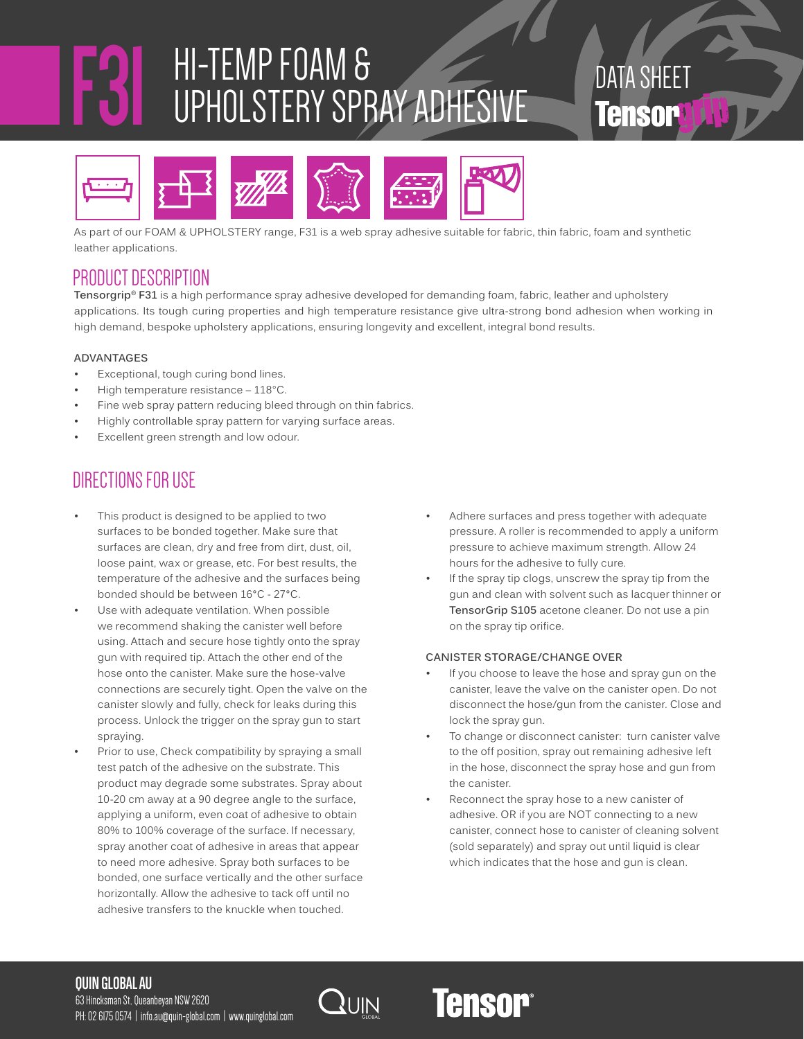## **F31** HI-TEMP FOAM & UPHOLSTERY SPRAY ADHESIVE

DATA SHEET **Tensorg A** 



As part of our FOAM & UPHOLSTERY range, F31 is a web spray adhesive suitable for fabric, thin fabric, foam and synthetic leather applications.

## PRODUCT DESCRIPTION

**Tensorgrip**® **F31** is a high performance spray adhesive developed for demanding foam, fabric, leather and upholstery applications. Its tough curing properties and high temperature resistance give ultra-strong bond adhesion when working in high demand, bespoke upholstery applications, ensuring longevity and excellent, integral bond results.

#### **ADVANTAGES**

- Exceptional, tough curing bond lines.
- High temperature resistance 118°C.
- Fine web spray pattern reducing bleed through on thin fabrics.
- Highly controllable spray pattern for varying surface areas.
- Excellent green strength and low odour.

## DIRECTIONS FOR USE

- This product is designed to be applied to two surfaces to be bonded together. Make sure that surfaces are clean, dry and free from dirt, dust, oil, loose paint, wax or grease, etc. For best results, the temperature of the adhesive and the surfaces being bonded should be between 16°C - 27°C.
- Use with adequate ventilation. When possible we recommend shaking the canister well before using. Attach and secure hose tightly onto the spray gun with required tip. Attach the other end of the hose onto the canister. Make sure the hose-valve connections are securely tight. Open the valve on the canister slowly and fully, check for leaks during this process. Unlock the trigger on the spray gun to start spraying.
- Prior to use, Check compatibility by spraying a small test patch of the adhesive on the substrate. This product may degrade some substrates. Spray about 10-20 cm away at a 90 degree angle to the surface, applying a uniform, even coat of adhesive to obtain 80% to 100% coverage of the surface. If necessary, spray another coat of adhesive in areas that appear to need more adhesive. Spray both surfaces to be bonded, one surface vertically and the other surface horizontally. Allow the adhesive to tack off until no adhesive transfers to the knuckle when touched.
- Adhere surfaces and press together with adequate pressure. A roller is recommended to apply a uniform pressure to achieve maximum strength. Allow 24 hours for the adhesive to fully cure.
- If the spray tip clogs, unscrew the spray tip from the gun and clean with solvent such as lacquer thinner or **TensorGrip S105** acetone cleaner. Do not use a pin on the spray tip orifice.

#### **CANISTER STORAGE/CHANGE OVER**

- If you choose to leave the hose and spray gun on the canister, leave the valve on the canister open. Do not disconnect the hose/gun from the canister. Close and lock the spray gun.
- To change or disconnect canister: turn canister valve to the off position, spray out remaining adhesive left in the hose, disconnect the spray hose and gun from the canister.
- Reconnect the spray hose to a new canister of adhesive. OR if you are NOT connecting to a new canister, connect hose to canister of cleaning solvent (sold separately) and spray out until liquid is clear which indicates that the hose and gun is clean.

## **QUIN GLOBAL AU**

63 Hincksman St, Queanbeyan NSW 2620 PH: 02 6175 0574 | info.au@quin-global.com | www.quinglobal.com



## **Tensor®**